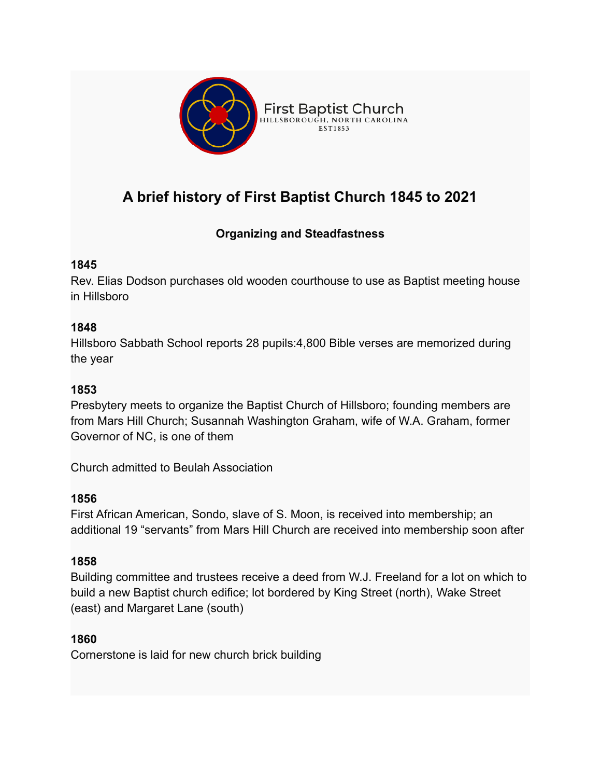

# **A brief history of First Baptist Church 1845 to 2021**

# **Organizing and Steadfastness**

### **1845**

Rev. Elias Dodson purchases old wooden courthouse to use as Baptist meeting house in Hillsboro

### **1848**

Hillsboro Sabbath School reports 28 pupils:4,800 Bible verses are memorized during the year

## **1853**

Presbytery meets to organize the Baptist Church of Hillsboro; founding members are from Mars Hill Church; Susannah Washington Graham, wife of W.A. Graham, former Governor of NC, is one of them

Church admitted to Beulah Association

### **1856**

First African American, Sondo, slave of S. Moon, is received into membership; an additional 19 "servants" from Mars Hill Church are received into membership soon after

### **1858**

Building committee and trustees receive a deed from W.J. Freeland for a lot on which to build a new Baptist church edifice; lot bordered by King Street (north), Wake Street (east) and Margaret Lane (south)

### **1860**

Cornerstone is laid for new church brick building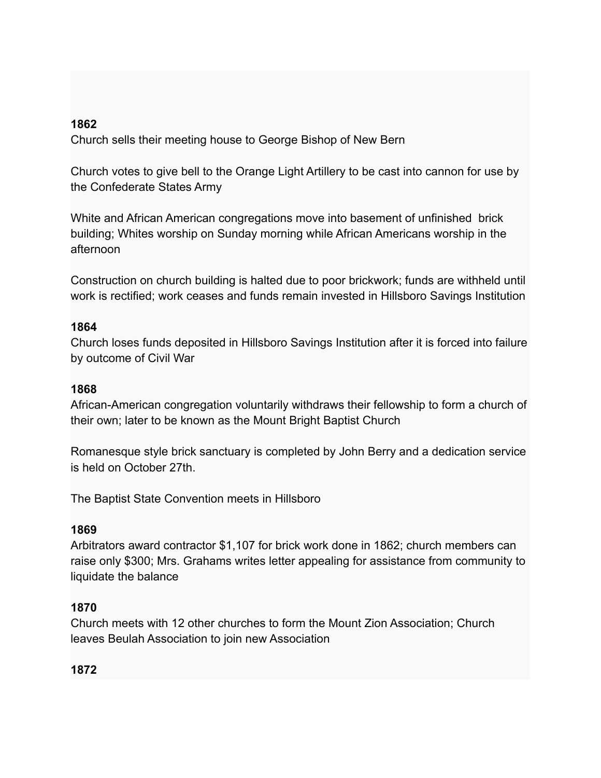#### **1862**

Church sells their meeting house to George Bishop of New Bern

Church votes to give bell to the Orange Light Artillery to be cast into cannon for use by the Confederate States Army

White and African American congregations move into basement of unfinished brick building; Whites worship on Sunday morning while African Americans worship in the afternoon

Construction on church building is halted due to poor brickwork; funds are withheld until work is rectified; work ceases and funds remain invested in Hillsboro Savings Institution

#### **1864**

Church loses funds deposited in Hillsboro Savings Institution after it is forced into failure by outcome of Civil War

#### **1868**

African-American congregation voluntarily withdraws their fellowship to form a church of their own; later to be known as the Mount Bright Baptist Church

Romanesque style brick sanctuary is completed by John Berry and a dedication service is held on October 27th.

The Baptist State Convention meets in Hillsboro

#### **1869**

Arbitrators award contractor \$1,107 for brick work done in 1862; church members can raise only \$300; Mrs. Grahams writes letter appealing for assistance from community to liquidate the balance

#### **1870**

Church meets with 12 other churches to form the Mount Zion Association; Church leaves Beulah Association to join new Association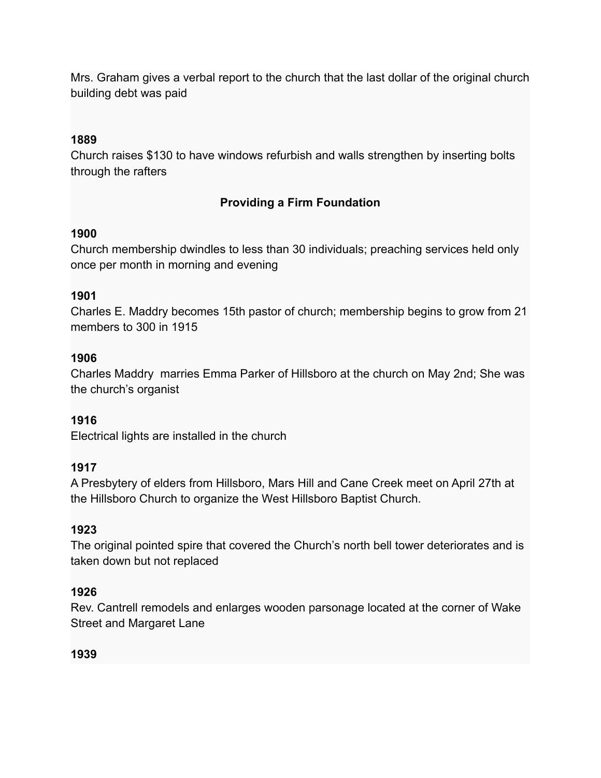Mrs. Graham gives a verbal report to the church that the last dollar of the original church building debt was paid

#### **1889**

Church raises \$130 to have windows refurbish and walls strengthen by inserting bolts through the rafters

### **Providing a Firm Foundation**

#### **1900**

Church membership dwindles to less than 30 individuals; preaching services held only once per month in morning and evening

### **1901**

Charles E. Maddry becomes 15th pastor of church; membership begins to grow from 21 members to 300 in 1915

### **1906**

Charles Maddry marries Emma Parker of Hillsboro at the church on May 2nd; She was the church's organist

# **1916**

Electrical lights are installed in the church

### **1917**

A Presbytery of elders from Hillsboro, Mars Hill and Cane Creek meet on April 27th at the Hillsboro Church to organize the West Hillsboro Baptist Church.

### **1923**

The original pointed spire that covered the Church's north bell tower deteriorates and is taken down but not replaced

### **1926**

Rev. Cantrell remodels and enlarges wooden parsonage located at the corner of Wake Street and Margaret Lane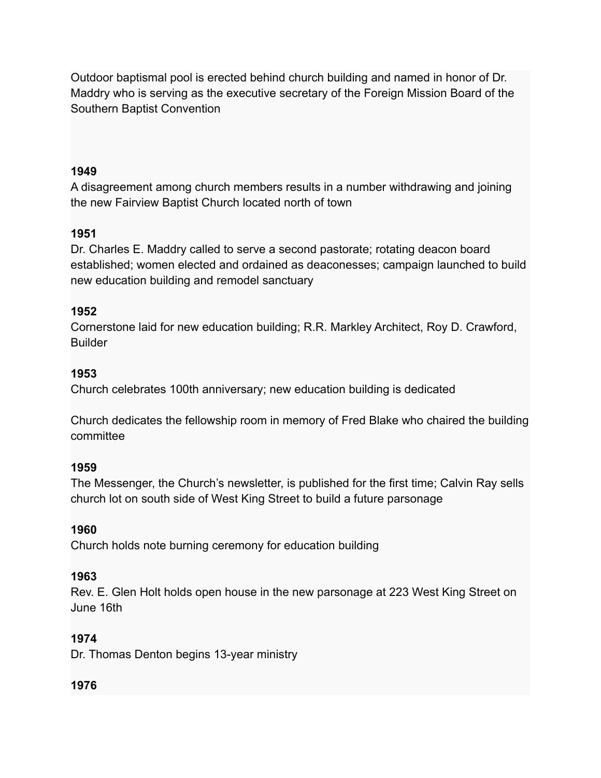Outdoor baptismal pool is erected behind church building and named in honor of Dr. Maddry who is serving as the executive secretary of the Foreign Mission Board of the Southern Baptist Convention

#### **1949**

A disagreement among church members results in a number withdrawing and joining the new Fairview Baptist Church located north of town

### **1951**

Dr. Charles E. Maddry called to serve a second pastorate; rotating deacon board established; women elected and ordained as deaconesses; campaign launched to build new education building and remodel sanctuary

#### **1952**

Cornerstone laid for new education building; R.R. Markley Architect, Roy D. Crawford, **Builder** 

#### **1953**

Church celebrates 100th anniversary; new education building is dedicated

Church dedicates the fellowship room in memory of Fred Blake who chaired the building committee

#### **1959**

The Messenger, the Church's newsletter, is published for the first time; Calvin Ray sells church lot on south side of West King Street to build a future parsonage

### **1960**

Church holds note burning ceremony for education building

#### **1963**

Rev. E. Glen Holt holds open house in the new parsonage at 223 West King Street on June 16th

### **1974**

Dr. Thomas Denton begins 13-year ministry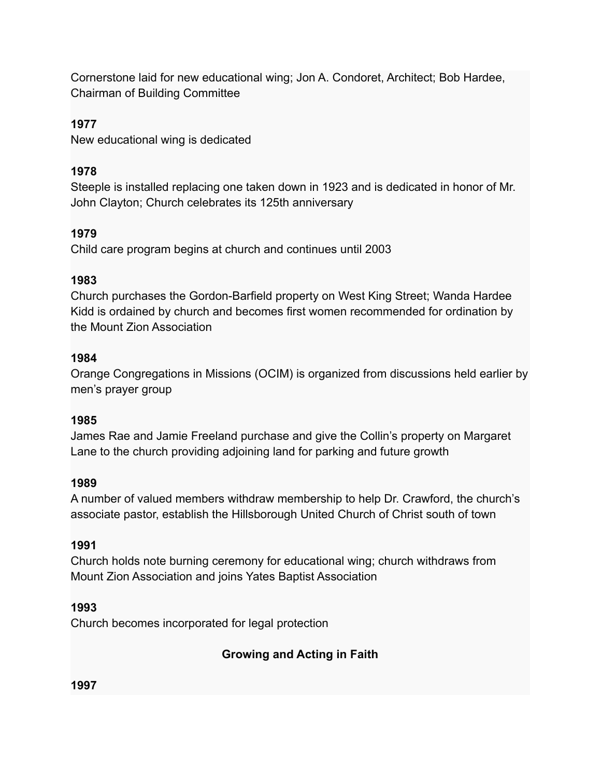Cornerstone laid for new educational wing; Jon A. Condoret, Architect; Bob Hardee, Chairman of Building Committee

### **1977**

New educational wing is dedicated

### **1978**

Steeple is installed replacing one taken down in 1923 and is dedicated in honor of Mr. John Clayton; Church celebrates its 125th anniversary

# **1979**

Child care program begins at church and continues until 2003

### **1983**

Church purchases the Gordon-Barfield property on West King Street; Wanda Hardee Kidd is ordained by church and becomes first women recommended for ordination by the Mount Zion Association

### **1984**

Orange Congregations in Missions (OCIM) is organized from discussions held earlier by men's prayer group

### **1985**

James Rae and Jamie Freeland purchase and give the Collin's property on Margaret Lane to the church providing adjoining land for parking and future growth

### **1989**

A number of valued members withdraw membership to help Dr. Crawford, the church's associate pastor, establish the Hillsborough United Church of Christ south of town

### **1991**

Church holds note burning ceremony for educational wing; church withdraws from Mount Zion Association and joins Yates Baptist Association

### **1993**

Church becomes incorporated for legal protection

**Growing and Acting in Faith**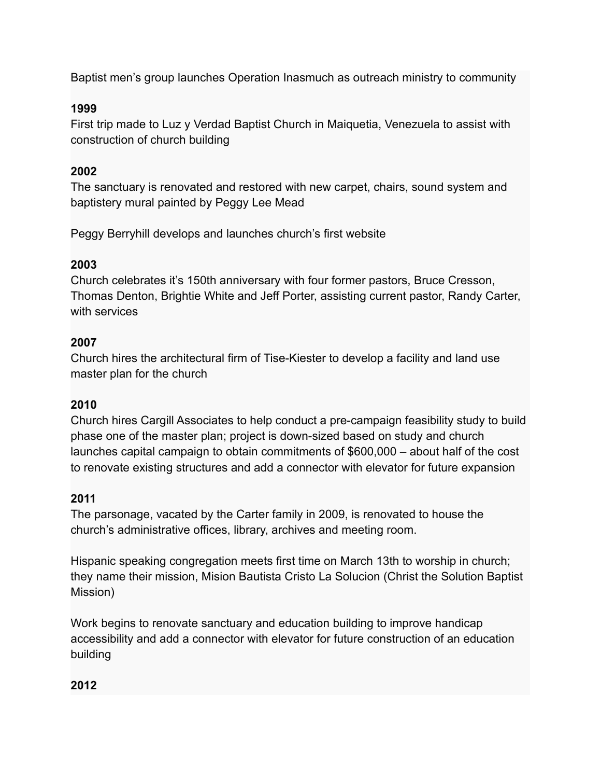Baptist men's group launches Operation Inasmuch as outreach ministry to community

### **1999**

First trip made to Luz y Verdad Baptist Church in Maiquetia, Venezuela to assist with construction of church building

### **2002**

The sanctuary is renovated and restored with new carpet, chairs, sound system and baptistery mural painted by Peggy Lee Mead

Peggy Berryhill develops and launches church's first website

### **2003**

Church celebrates it's 150th anniversary with four former pastors, Bruce Cresson, Thomas Denton, Brightie White and Jeff Porter, assisting current pastor, Randy Carter, with services

### **2007**

Church hires the architectural firm of Tise-Kiester to develop a facility and land use master plan for the church

# **2010**

Church hires Cargill Associates to help conduct a pre-campaign feasibility study to build phase one of the master plan; project is down-sized based on study and church launches capital campaign to obtain commitments of \$600,000 – about half of the cost to renovate existing structures and add a connector with elevator for future expansion

# **2011**

The parsonage, vacated by the Carter family in 2009, is renovated to house the church's administrative offices, library, archives and meeting room.

Hispanic speaking congregation meets first time on March 13th to worship in church; they name their mission, Mision Bautista Cristo La Solucion (Christ the Solution Baptist Mission)

Work begins to renovate sanctuary and education building to improve handicap accessibility and add a connector with elevator for future construction of an education building